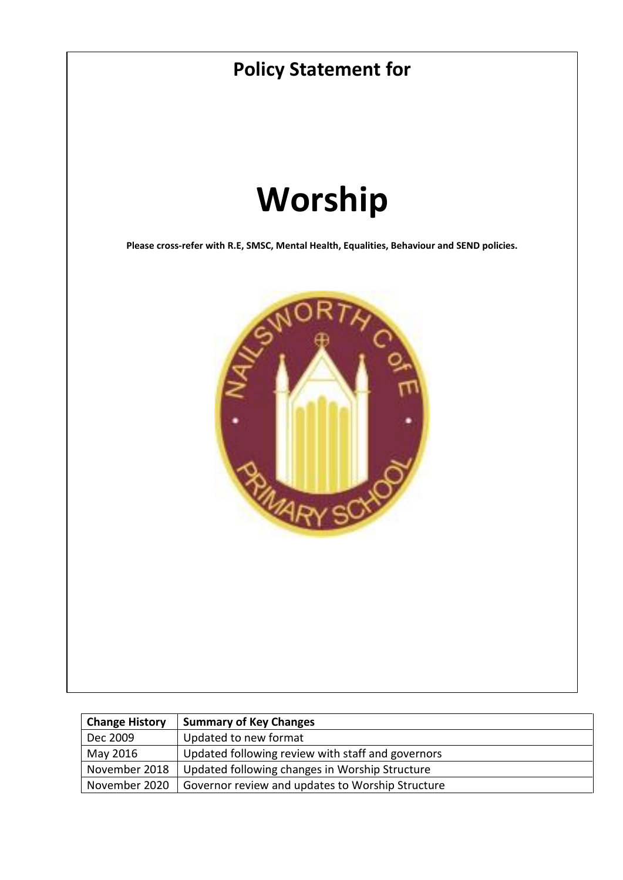

| <b>Change History</b> | <b>Summary of Key Changes</b>                     |
|-----------------------|---------------------------------------------------|
| Dec 2009              | Updated to new format                             |
| May 2016              | Updated following review with staff and governors |
| November 2018         | Updated following changes in Worship Structure    |
| November 2020         | Governor review and updates to Worship Structure  |
|                       |                                                   |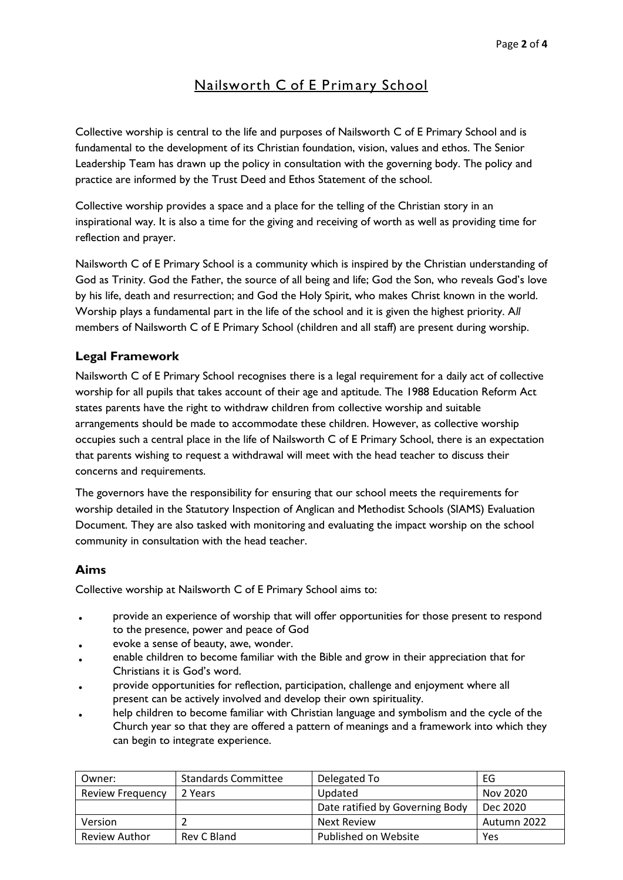# **Nailsworth C of E Prim ary School**

Collective worship is central to the life and purposes of Nailsworth C of E Primary School and is fundamental to the development of its Christian foundation, vision, values and ethos. The Senior Leadership Team has drawn up the policy in consultation with the governing body. The policy and practice are informed by the Trust Deed and Ethos Statement of the school.

Collective worship provides a space and a place for the telling of the Christian story in an inspirational way. It is also a time for the giving and receiving of worth as well as providing time for reflection and prayer.

Nailsworth C of E Primary School is a community which is inspired by the Christian understanding of God as Trinity. God the Father, the source of all being and life; God the Son, who reveals God's love by his life, death and resurrection; and God the Holy Spirit, who makes Christ known in the world. Worship plays a fundamental part in the life of the school and it is given the highest priority. A*ll* members of Nailsworth C of E Primary School (children and all staff) are present during worship.

# **Legal Framework**

Nailsworth C of E Primary School recognises there is a legal requirement for a daily act of collective worship for all pupils that takes account of their age and aptitude. The 1988 Education Reform Act states parents have the right to withdraw children from collective worship and suitable arrangements should be made to accommodate these children. However, as collective worship occupies such a central place in the life of Nailsworth C of E Primary School, there is an expectation that parents wishing to request a withdrawal will meet with the head teacher to discuss their concerns and requirements.

The governors have the responsibility for ensuring that our school meets the requirements for worship detailed in the Statutory Inspection of Anglican and Methodist Schools (SIAMS) Evaluation Document. They are also tasked with monitoring and evaluating the impact worship on the school community in consultation with the head teacher.

# **Aims**

Collective worship at Nailsworth C of E Primary School aims to:

- provide an experience of worship that will offer opportunities for those present to respond to the presence, power and peace of God
- evoke a sense of beauty, awe, wonder.
- enable children to become familiar with the Bible and grow in their appreciation that for Christians it is God's word.
- provide opportunities for reflection, participation, challenge and enjoyment where all present can be actively involved and develop their own spirituality.
- help children to become familiar with Christian language and symbolism and the cycle of the Church year so that they are offered a pattern of meanings and a framework into which they can begin to integrate experience.

| Owner:                  | <b>Standards Committee</b> | Delegated To                    | EG          |
|-------------------------|----------------------------|---------------------------------|-------------|
| <b>Review Frequency</b> | 2 Years                    | Updated                         | Nov 2020    |
|                         |                            | Date ratified by Governing Body | Dec 2020    |
| Version                 |                            | <b>Next Review</b>              | Autumn 2022 |
| Review Author           | Rev C Bland                | Published on Website            | Yes         |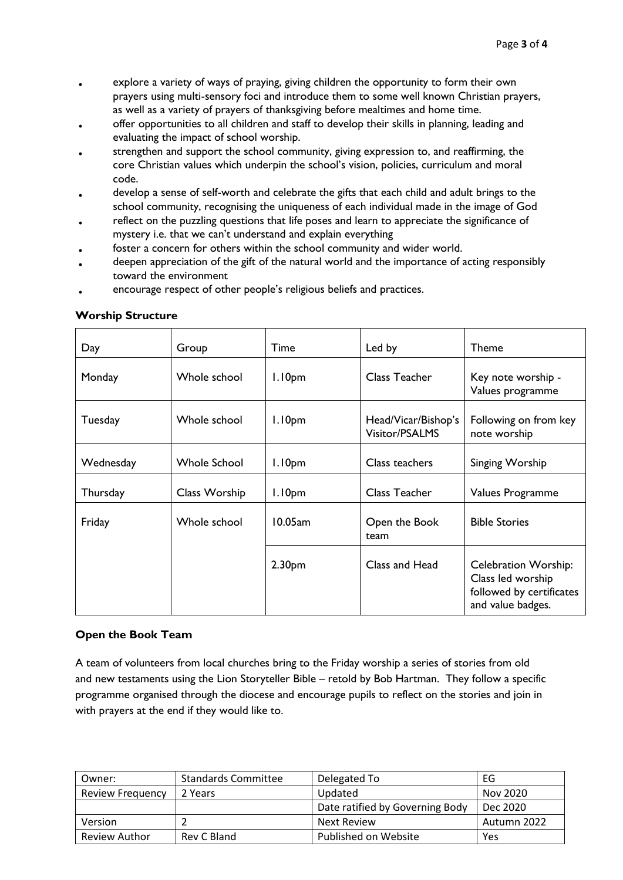- explore a variety of ways of praying, giving children the opportunity to form their own prayers using multi-sensory foci and introduce them to some well known Christian prayers, as well as a variety of prayers of thanksgiving before mealtimes and home time.
- offer opportunities to all children and staff to develop their skills in planning, leading and evaluating the impact of school worship.
- strengthen and support the school community, giving expression to, and reaffirming, the core Christian values which underpin the school's vision, policies, curriculum and moral code.
- develop a sense of self-worth and celebrate the gifts that each child and adult brings to the school community, recognising the uniqueness of each individual made in the image of God
- reflect on the puzzling questions that life poses and learn to appreciate the significance of mystery i.e. that we can't understand and explain everything
- foster a concern for others within the school community and wider world.
- deepen appreciation of the gift of the natural world and the importance of acting responsibly toward the environment
- encourage respect of other people's religious beliefs and practices.

| Day       | Group         | Time               | Led by                                | <b>Theme</b>                                                                                      |
|-----------|---------------|--------------------|---------------------------------------|---------------------------------------------------------------------------------------------------|
| Monday    | Whole school  | 1.10 <sub>pm</sub> | Class Teacher                         | Key note worship -<br>Values programme                                                            |
| Tuesday   | Whole school  | 1.10 <sub>pm</sub> | Head/Vicar/Bishop's<br>Visitor/PSALMS | Following on from key<br>note worship                                                             |
| Wednesday | Whole School  | 1.10 <sub>pm</sub> | Class teachers                        | Singing Worship                                                                                   |
| Thursday  | Class Worship | 1.10 <sub>pm</sub> | Class Teacher                         | Values Programme                                                                                  |
| Friday    | Whole school  | 10.05am            | Open the Book<br>team                 | <b>Bible Stories</b>                                                                              |
|           |               | 2.30 <sub>pm</sub> | Class and Head                        | <b>Celebration Worship:</b><br>Class led worship<br>followed by certificates<br>and value badges. |

#### **Worship Structure**

## **Open the Book Team**

A team of volunteers from local churches bring to the Friday worship a series of stories from old and new testaments using the Lion Storyteller Bible – retold by Bob Hartman. They follow a specific programme organised through the diocese and encourage pupils to reflect on the stories and join in with prayers at the end if they would like to.

| Owner:                  | <b>Standards Committee</b> | Delegated To                    | EG          |
|-------------------------|----------------------------|---------------------------------|-------------|
| <b>Review Frequency</b> | 2 Years                    | Updated                         | Nov 2020    |
|                         |                            | Date ratified by Governing Body | Dec 2020    |
| Version                 |                            | Next Review                     | Autumn 2022 |
| Review Author           | Rev C Bland                | Published on Website            | Yes         |